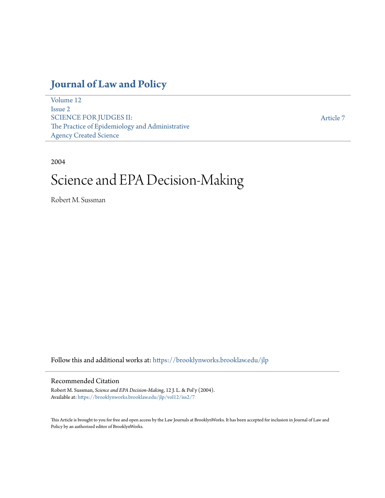# **[Journal of Law and Policy](https://brooklynworks.brooklaw.edu/jlp?utm_source=brooklynworks.brooklaw.edu%2Fjlp%2Fvol12%2Fiss2%2F7&utm_medium=PDF&utm_campaign=PDFCoverPages)**

[Volume 12](https://brooklynworks.brooklaw.edu/jlp/vol12?utm_source=brooklynworks.brooklaw.edu%2Fjlp%2Fvol12%2Fiss2%2F7&utm_medium=PDF&utm_campaign=PDFCoverPages) [Issue 2](https://brooklynworks.brooklaw.edu/jlp/vol12/iss2?utm_source=brooklynworks.brooklaw.edu%2Fjlp%2Fvol12%2Fiss2%2F7&utm_medium=PDF&utm_campaign=PDFCoverPages) SCIENCE FOR JUDGES II: The Practice of Epidemiology and Administrative Agency Created Science

[Article 7](https://brooklynworks.brooklaw.edu/jlp/vol12/iss2/7?utm_source=brooklynworks.brooklaw.edu%2Fjlp%2Fvol12%2Fiss2%2F7&utm_medium=PDF&utm_campaign=PDFCoverPages)

#### 2004

# Science and EPA Decision-Making

Robert M. Sussman

Follow this and additional works at: [https://brooklynworks.brooklaw.edu/jlp](https://brooklynworks.brooklaw.edu/jlp?utm_source=brooklynworks.brooklaw.edu%2Fjlp%2Fvol12%2Fiss2%2F7&utm_medium=PDF&utm_campaign=PDFCoverPages)

## Recommended Citation

Robert M. Sussman, *Science and EPA Decision-Making*, 12 J. L. & Pol'y (2004). Available at: [https://brooklynworks.brooklaw.edu/jlp/vol12/iss2/7](https://brooklynworks.brooklaw.edu/jlp/vol12/iss2/7?utm_source=brooklynworks.brooklaw.edu%2Fjlp%2Fvol12%2Fiss2%2F7&utm_medium=PDF&utm_campaign=PDFCoverPages)

This Article is brought to you for free and open access by the Law Journals at BrooklynWorks. It has been accepted for inclusion in Journal of Law and Policy by an authorized editor of BrooklynWorks.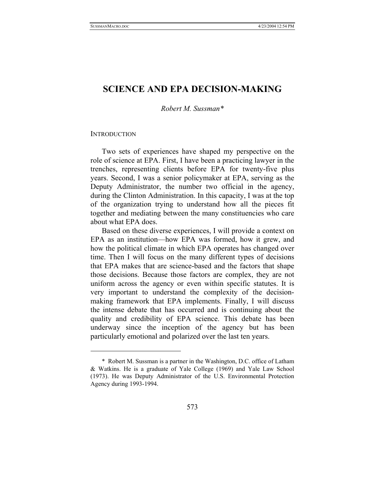# **SCIENCE AND EPA DECISION-MAKING**

*Robert M. Sussman\** 

#### **INTRODUCTION**

 $\overline{a}$ 

Two sets of experiences have shaped my perspective on the role of science at EPA. First, I have been a practicing lawyer in the trenches, representing clients before EPA for twenty-five plus years. Second, I was a senior policymaker at EPA, serving as the Deputy Administrator, the number two official in the agency, during the Clinton Administration. In this capacity, I was at the top of the organization trying to understand how all the pieces fit together and mediating between the many constituencies who care about what EPA does.

Based on these diverse experiences, I will provide a context on EPA as an institution—how EPA was formed, how it grew, and how the political climate in which EPA operates has changed over time. Then I will focus on the many different types of decisions that EPA makes that are science-based and the factors that shape those decisions. Because those factors are complex, they are not uniform across the agency or even within specific statutes. It is very important to understand the complexity of the decisionmaking framework that EPA implements. Finally, I will discuss the intense debate that has occurred and is continuing about the quality and credibility of EPA science. This debate has been underway since the inception of the agency but has been particularly emotional and polarized over the last ten years.

 <sup>\*</sup> Robert M. Sussman is a partner in the Washington, D.C. office of Latham & Watkins. He is a graduate of Yale College (1969) and Yale Law School (1973). He was Deputy Administrator of the U.S. Environmental Protection Agency during 1993-1994.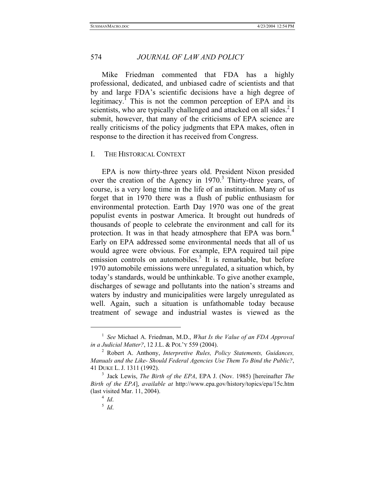Mike Friedman commented that FDA has a highly professional, dedicated, and unbiased cadre of scientists and that by and large FDA's scientific decisions have a high degree of legitimacy.<sup> $I$ </sup> This is not the common perception of EPA and its scientists, who are typically challenged and attacked on all sides.<sup>2</sup> I submit, however, that many of the criticisms of EPA science are really criticisms of the policy judgments that EPA makes, often in response to the direction it has received from Congress.

#### I. THE HISTORICAL CONTEXT

EPA is now thirty-three years old. President Nixon presided over the creation of the Agency in 1970.<sup>3</sup> Thirty-three years, of course, is a very long time in the life of an institution. Many of us forget that in 1970 there was a flush of public enthusiasm for environmental protection. Earth Day 1970 was one of the great populist events in postwar America. It brought out hundreds of thousands of people to celebrate the environment and call for its protection. It was in that heady atmosphere that EPA was born.<sup>4</sup> Early on EPA addressed some environmental needs that all of us would agree were obvious. For example, EPA required tail pipe emission controls on automobiles.<sup>5</sup> It is remarkable, but before 1970 automobile emissions were unregulated, a situation which, by today's standards, would be unthinkable. To give another example, discharges of sewage and pollutants into the nation's streams and waters by industry and municipalities were largely unregulated as well. Again, such a situation is unfathomable today because treatment of sewage and industrial wastes is viewed as the

<sup>1</sup> *See* Michael A. Friedman, M.D., *What Is the Value of an FDA Approval in a Judicial Matter?*, 12 J.L. & POL'Y 559 (2004). 2 Robert A. Anthony, *Interpretive Rules, Policy Statements, Guidances,* 

*Manuals and the Like- Should Federal Agencies Use Them To Bind the Public?*, 41 DUKE L. J. 1311 (1992). 3 Jack Lewis, *The Birth of the EPA*, EPA J. (Nov. 1985) [hereinafter *The* 

*Birth of the EPA*], *available at* http://www.epa.gov/history/topics/epa/15c.htm (last visited Mar. 11, 2004). 4 *Id*. 5 *Id*.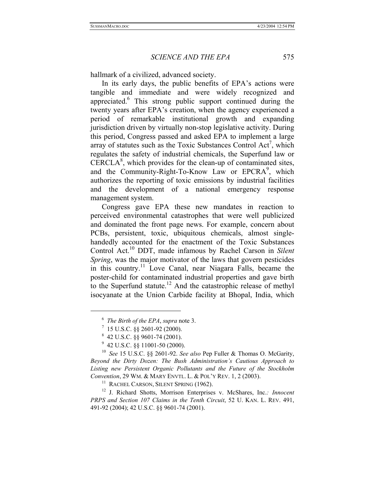hallmark of a civilized, advanced society.

In its early days, the public benefits of EPA's actions were tangible and immediate and were widely recognized and appreciated.<sup>6</sup> This strong public support continued during the twenty years after EPA's creation, when the agency experienced a period of remarkable institutional growth and expanding jurisdiction driven by virtually non-stop legislative activity. During this period, Congress passed and asked EPA to implement a large array of statutes such as the Toxic Substances Control Act<sup>7</sup>, which regulates the safety of industrial chemicals, the Superfund law or  $CERCLA<sup>8</sup>$ , which provides for the clean-up of contaminated sites, and the Community-Right-To-Know Law or EPCRA<sup>9</sup>, which authorizes the reporting of toxic emissions by industrial facilities and the development of a national emergency response management system.

Congress gave EPA these new mandates in reaction to perceived environmental catastrophes that were well publicized and dominated the front page news. For example, concern about PCBs, persistent, toxic, ubiquitous chemicals, almost singlehandedly accounted for the enactment of the Toxic Substances Control Act.10 DDT, made infamous by Rachel Carson in *Silent Spring*, was the major motivator of the laws that govern pesticides in this country.<sup>11</sup> Love Canal, near Niagara Falls, became the poster-child for contaminated industrial properties and gave birth to the Superfund statute.<sup>12</sup> And the catastrophic release of methyl isocyanate at the Union Carbide facility at Bhopal, India, which

 $\overline{a}$ 

<sup>6</sup> *The Birth of the EPA*, *supra* note 3. 7 15 U.S.C. §§ 2601-92 (2000).

<sup>8</sup> 42 U.S.C. §§ 9601-74 (2001).

 $9$  42 U.S.C. §§ 11001-50 (2000).

<sup>10</sup> *See* 15 U.S.C. §§ 2601-92. *See also* Pep Fuller & Thomas O. McGarity, *Beyond the Dirty Dozen: The Bush Administration's Cautious Approach to Listing new Persistent Organic Pollutants and the Future of the Stockholm Convention*, 29 WM. & MARY ENVTL. L. & POL'Y REV. 1, 2 (2003).<br><sup>11</sup> RACHEL CARSON, SILENT SPRING (1962).

<sup>12</sup> J. Richard Shotts, Morrison Enterprises v. McShares, Inc.*: Innocent PRPS and Section 107 Claims in the Tenth Circuit*, 52 U. KAN. L. REV. 491, 491-92 (2004); 42 U.S.C. §§ 9601-74 (2001).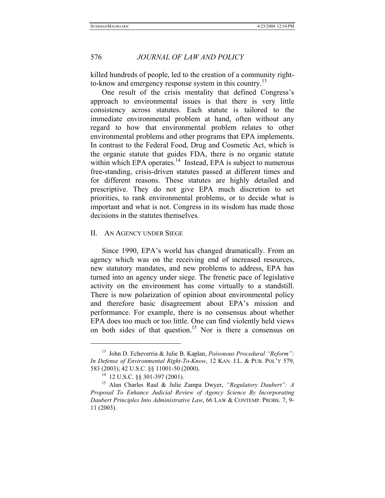killed hundreds of people, led to the creation of a community rightto-know and emergency response system in this country.<sup>13</sup>

One result of the crisis mentality that defined Congress's approach to environmental issues is that there is very little consistency across statutes. Each statute is tailored to the immediate environmental problem at hand, often without any regard to how that environmental problem relates to other environmental problems and other programs that EPA implements. In contrast to the Federal Food, Drug and Cosmetic Act, which is the organic statute that guides FDA, there is no organic statute within which EPA operates. $14$  Instead, EPA is subject to numerous free-standing, crisis-driven statutes passed at different times and for different reasons. These statutes are highly detailed and prescriptive. They do not give EPA much discretion to set priorities, to rank environmental problems, or to decide what is important and what is not. Congress in its wisdom has made those decisions in the statutes themselves.

#### II. AN AGENCY UNDER SIEGE

Since 1990, EPA's world has changed dramatically. From an agency which was on the receiving end of increased resources, new statutory mandates, and new problems to address, EPA has turned into an agency under siege. The frenetic pace of legislative activity on the environment has come virtually to a standstill. There is now polarization of opinion about environmental policy and therefore basic disagreement about EPA's mission and performance. For example, there is no consensus about whether EPA does too much or too little. One can find violently held views on both sides of that question.<sup>15</sup> Nor is there a consensus on

 $\overline{a}$ 

<sup>13</sup> John D. Echeverria & Julie B. Kaplan, *Poisonous Procedural "Reform": In Defense of Environmental Right-To-Know*, 12 KAN. J.L. & PUB. POL'Y 579, 583 (2003); 42 U.S.C. §§ 11001-50 (2000). 14 12 U.S.C. §§ 301-397 (2001). 15 Alan Charles Raul & Julie Zampa Dwyer, *"Regulatory Daubert": A* 

*Proposal To Enhance Judicial Review of Agency Science By Incorporating Daubert Principles Into Administrative Law*, 66 LAW & CONTEMP. PROBS. 7, 9- 11 (2003).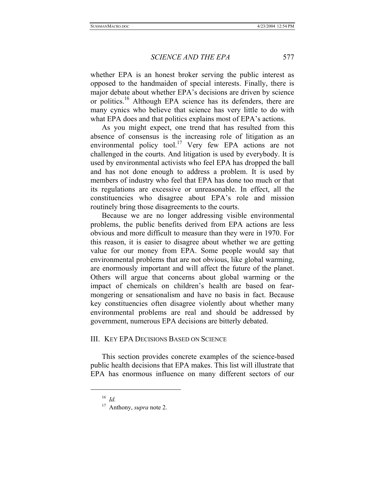whether EPA is an honest broker serving the public interest as opposed to the handmaiden of special interests. Finally, there is major debate about whether EPA's decisions are driven by science or politics.<sup>16</sup> Although EPA science has its defenders, there are many cynics who believe that science has very little to do with what EPA does and that politics explains most of EPA's actions.

As you might expect, one trend that has resulted from this absence of consensus is the increasing role of litigation as an environmental policy tool.<sup>17</sup> Very few EPA actions are not challenged in the courts. And litigation is used by everybody. It is used by environmental activists who feel EPA has dropped the ball and has not done enough to address a problem. It is used by members of industry who feel that EPA has done too much or that its regulations are excessive or unreasonable. In effect, all the constituencies who disagree about EPA's role and mission routinely bring those disagreements to the courts.

Because we are no longer addressing visible environmental problems, the public benefits derived from EPA actions are less obvious and more difficult to measure than they were in 1970. For this reason, it is easier to disagree about whether we are getting value for our money from EPA. Some people would say that environmental problems that are not obvious, like global warming, are enormously important and will affect the future of the planet. Others will argue that concerns about global warming or the impact of chemicals on children's health are based on fearmongering or sensationalism and have no basis in fact. Because key constituencies often disagree violently about whether many environmental problems are real and should be addressed by government, numerous EPA decisions are bitterly debated.

# III. KEY EPA DECISIONS BASED ON SCIENCE

This section provides concrete examples of the science-based public health decisions that EPA makes. This list will illustrate that EPA has enormous influence on many different sectors of our

<sup>16</sup> *Id.*

<sup>17</sup> Anthony, *supra* note 2.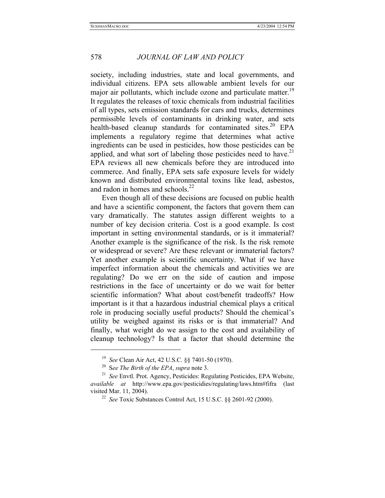society, including industries, state and local governments, and individual citizens. EPA sets allowable ambient levels for our major air pollutants, which include ozone and particulate matter.<sup>19</sup> It regulates the releases of toxic chemicals from industrial facilities of all types, sets emission standards for cars and trucks, determines permissible levels of contaminants in drinking water, and sets health-based cleanup standards for contaminated sites.<sup>20</sup> EPA implements a regulatory regime that determines what active ingredients can be used in pesticides, how those pesticides can be applied, and what sort of labeling those pesticides need to have.<sup>21</sup> EPA reviews all new chemicals before they are introduced into commerce. And finally, EPA sets safe exposure levels for widely known and distributed environmental toxins like lead, asbestos, and radon in homes and schools.<sup>22</sup>

Even though all of these decisions are focused on public health and have a scientific component, the factors that govern them can vary dramatically. The statutes assign different weights to a number of key decision criteria. Cost is a good example. Is cost important in setting environmental standards, or is it immaterial? Another example is the significance of the risk. Is the risk remote or widespread or severe? Are these relevant or immaterial factors? Yet another example is scientific uncertainty. What if we have imperfect information about the chemicals and activities we are regulating? Do we err on the side of caution and impose restrictions in the face of uncertainty or do we wait for better scientific information? What about cost/benefit tradeoffs? How important is it that a hazardous industrial chemical plays a critical role in producing socially useful products? Should the chemical's utility be weighed against its risks or is that immaterial? And finally, what weight do we assign to the cost and availability of cleanup technology? Is that a factor that should determine the

<sup>&</sup>lt;sup>19</sup> *See Clean Air Act, 42 U.S.C.* §§ 7401-50 (1970).<br><sup>20</sup> *See The Birth of the EPA, supra* note 3.<br><sup>21</sup> *See* Envtl. Prot. Agency, Pesticides: Regulating Pesticides, EPA Website, *available at* http://www.epa.gov/pesticidies/regulating/laws.htm#fifra (last visited Mar. 11, 2004). 22 *See* Toxic Substances Control Act, 15 U.S.C. §§ 2601-92 (2000).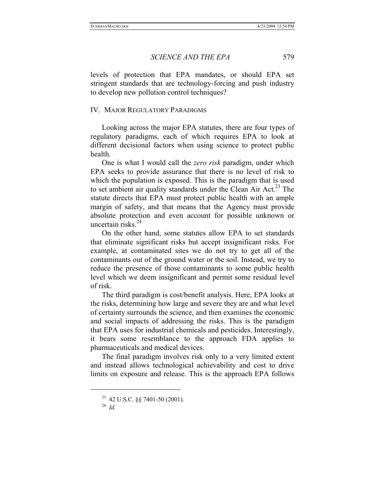levels of protection that EPA mandates, or should EPA set stringent standards that are technology-forcing and push industry to develop new pollution control techniques?

#### IV. MAJOR REGULATORY PARADIGMS

Looking across the major EPA statutes, there are four types of regulatory paradigms, each of which requires EPA to look at different decisional factors when using science to protect public health.

One is what I would call the *zero risk* paradigm, under which EPA seeks to provide assurance that there is no level of risk to which the population is exposed. This is the paradigm that is used to set ambient air quality standards under the Clean Air Act.<sup>23</sup> The statute directs that EPA must protect public health with an ample margin of safety, and that means that the Agency must provide absolute protection and even account for possible unknown or uncertain risks. $^{24}$ 

On the other hand, some statutes allow EPA to set standards that eliminate significant risks but accept insignificant risks. For example, at contaminated sites we do not try to get all of the contaminants out of the ground water or the soil. Instead, we try to reduce the presence of those contaminants to some public health level which we deem insignificant and permit some residual level of risk.

The third paradigm is cost/benefit analysis. Here, EPA looks at the risks, determining how large and severe they are and what level of certainty surrounds the science, and then examines the economic and social impacts of addressing the risks. This is the paradigm that EPA uses for industrial chemicals and pesticides. Interestingly, it bears some resemblance to the approach FDA applies to pharmaceuticals and medical devices.

The final paradigm involves risk only to a very limited extent and instead allows technological achievability and cost to drive limits on exposure and release. This is the approach EPA follows

<sup>23</sup> 42 U.S.C. §§ 7401-50 (2001). 24 *Id.*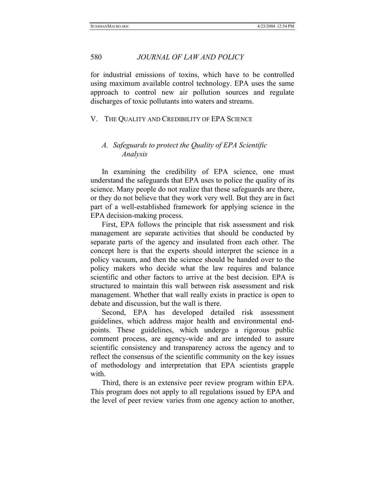for industrial emissions of toxins, which have to be controlled using maximum available control technology. EPA uses the same approach to control new air pollution sources and regulate discharges of toxic pollutants into waters and streams.

#### V. THE QUALITY AND CREDIBILITY OF EPA SCIENCE

# *A. Safeguards to protect the Quality of EPA Scientific Analysis*

In examining the credibility of EPA science, one must understand the safeguards that EPA uses to police the quality of its science. Many people do not realize that these safeguards are there, or they do not believe that they work very well. But they are in fact part of a well-established framework for applying science in the EPA decision-making process.

First, EPA follows the principle that risk assessment and risk management are separate activities that should be conducted by separate parts of the agency and insulated from each other. The concept here is that the experts should interpret the science in a policy vacuum, and then the science should be handed over to the policy makers who decide what the law requires and balance scientific and other factors to arrive at the best decision. EPA is structured to maintain this wall between risk assessment and risk management. Whether that wall really exists in practice is open to debate and discussion, but the wall is there.

Second, EPA has developed detailed risk assessment guidelines, which address major health and environmental endpoints. These guidelines, which undergo a rigorous public comment process, are agency-wide and are intended to assure scientific consistency and transparency across the agency and to reflect the consensus of the scientific community on the key issues of methodology and interpretation that EPA scientists grapple with.

Third, there is an extensive peer review program within EPA. This program does not apply to all regulations issued by EPA and the level of peer review varies from one agency action to another,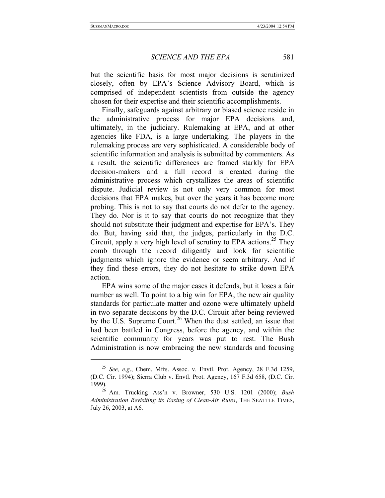l

*SCIENCE AND THE EPA* 581

but the scientific basis for most major decisions is scrutinized closely, often by EPA's Science Advisory Board, which is comprised of independent scientists from outside the agency chosen for their expertise and their scientific accomplishments.

Finally, safeguards against arbitrary or biased science reside in the administrative process for major EPA decisions and, ultimately, in the judiciary. Rulemaking at EPA, and at other agencies like FDA, is a large undertaking. The players in the rulemaking process are very sophisticated. A considerable body of scientific information and analysis is submitted by commenters. As a result, the scientific differences are framed starkly for EPA decision-makers and a full record is created during the administrative process which crystallizes the areas of scientific dispute. Judicial review is not only very common for most decisions that EPA makes, but over the years it has become more probing. This is not to say that courts do not defer to the agency. They do. Nor is it to say that courts do not recognize that they should not substitute their judgment and expertise for EPA's. They do. But, having said that, the judges, particularly in the D.C. Circuit, apply a very high level of scrutiny to EPA actions.<sup>25</sup> They comb through the record diligently and look for scientific judgments which ignore the evidence or seem arbitrary. And if they find these errors, they do not hesitate to strike down EPA action.

EPA wins some of the major cases it defends, but it loses a fair number as well. To point to a big win for EPA, the new air quality standards for particulate matter and ozone were ultimately upheld in two separate decisions by the D.C. Circuit after being reviewed by the U.S. Supreme Court.<sup>26</sup> When the dust settled, an issue that had been battled in Congress, before the agency, and within the scientific community for years was put to rest. The Bush Administration is now embracing the new standards and focusing

<sup>25</sup> *See, e.g*., Chem. Mfrs. Assoc. v. Envtl. Prot. Agency, 28 F.3d 1259, (D.C. Cir. 1994); Sierra Club v. Envtl. Prot. Agency, 167 F.3d 658, (D.C. Cir. 1999). 26 Am. Trucking Ass'n v. Browner, 530 U.S. 1201 (2000); *Bush* 

*Administration Revisiting its Easing of Clean-Air Rules*, THE SEATTLE TIMES, July 26, 2003, at A6.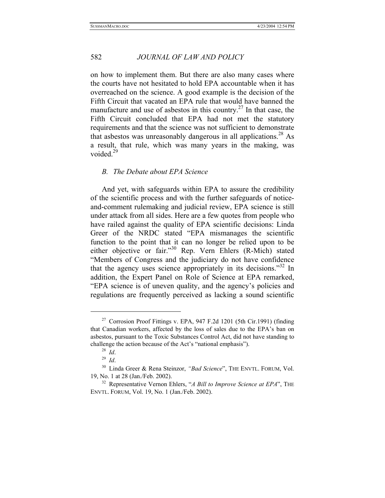on how to implement them. But there are also many cases where the courts have not hesitated to hold EPA accountable when it has overreached on the science. A good example is the decision of the Fifth Circuit that vacated an EPA rule that would have banned the manufacture and use of asbestos in this country.<sup>27</sup> In that case, the Fifth Circuit concluded that EPA had not met the statutory requirements and that the science was not sufficient to demonstrate that asbestos was unreasonably dangerous in all applications.<sup>28</sup> As a result, that rule, which was many years in the making, was voided. $29$ 

#### *B. The Debate about EPA Science*

And yet, with safeguards within EPA to assure the credibility of the scientific process and with the further safeguards of noticeand-comment rulemaking and judicial review, EPA science is still under attack from all sides. Here are a few quotes from people who have railed against the quality of EPA scientific decisions: Linda Greer of the NRDC stated "EPA mismanages the scientific function to the point that it can no longer be relied upon to be either objective or fair."<sup>30</sup> Rep. Vern Ehlers (R-Mich) stated "Members of Congress and the judiciary do not have confidence that the agency uses science appropriately in its decisions."<sup>32</sup> In addition, the Expert Panel on Role of Science at EPA remarked, "EPA science is of uneven quality, and the agency's policies and regulations are frequently perceived as lacking a sound scientific

 $\overline{a}$ 

<sup>&</sup>lt;sup>27</sup> Corrosion Proof Fittings v. EPA,  $947$  F.2d 1201 (5th Cir.1991) (finding that Canadian workers, affected by the loss of sales due to the EPA's ban on asbestos, pursuant to the Toxic Substances Control Act, did not have standing to challenge the action because of the Act's "national emphasis").<br> $^{28}$  *Id* 

<sup>&</sup>lt;sup>29</sup> *Id.* <sup>30</sup> Linda Greer & Rena Steinzor, *"Bad Science*", THE ENVTL. FORUM, Vol. 19, No. 1 at 28 (Jan./Feb. 2002). 32 Representative Vernon Ehlers, "*A Bill to Improve Science at EPA*", THE

ENVTL. FORUM, Vol. 19, No. 1 (Jan./Feb. 2002).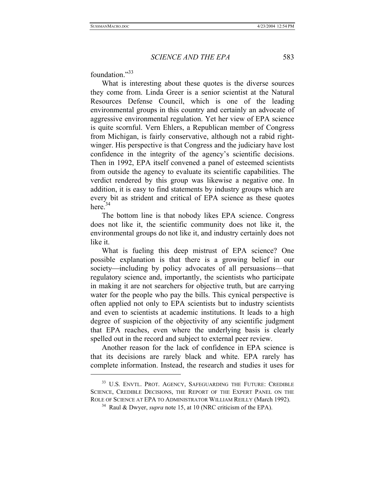foundation."33

l

What is interesting about these quotes is the diverse sources they come from. Linda Greer is a senior scientist at the Natural Resources Defense Council, which is one of the leading environmental groups in this country and certainly an advocate of aggressive environmental regulation. Yet her view of EPA science is quite scornful. Vern Ehlers, a Republican member of Congress from Michigan, is fairly conservative, although not a rabid rightwinger. His perspective is that Congress and the judiciary have lost confidence in the integrity of the agency's scientific decisions. Then in 1992, EPA itself convened a panel of esteemed scientists from outside the agency to evaluate its scientific capabilities. The verdict rendered by this group was likewise a negative one. In addition, it is easy to find statements by industry groups which are every bit as strident and critical of EPA science as these quotes here. $34$ 

The bottom line is that nobody likes EPA science. Congress does not like it, the scientific community does not like it, the environmental groups do not like it, and industry certainly does not like it.

What is fueling this deep mistrust of EPA science? One possible explanation is that there is a growing belief in our society—including by policy advocates of all persuasions—that regulatory science and, importantly, the scientists who participate in making it are not searchers for objective truth, but are carrying water for the people who pay the bills. This cynical perspective is often applied not only to EPA scientists but to industry scientists and even to scientists at academic institutions. It leads to a high degree of suspicion of the objectivity of any scientific judgment that EPA reaches, even where the underlying basis is clearly spelled out in the record and subject to external peer review.

Another reason for the lack of confidence in EPA science is that its decisions are rarely black and white. EPA rarely has complete information. Instead, the research and studies it uses for

<sup>&</sup>lt;sup>33</sup> U.S. ENVTL. PROT. AGENCY, SAFEGUARDING THE FUTURE: CREDIBLE SCIENCE, CREDIBLE DECISIONS, THE REPORT OF THE EXPERT PANEL ON THE ROLE OF SCIENCE AT EPA TO ADMINISTRATOR WILLIAM REILLY (March 1992).

<sup>34</sup> Raul & Dwyer, *supra* note 15, at 10 (NRC criticism of the EPA).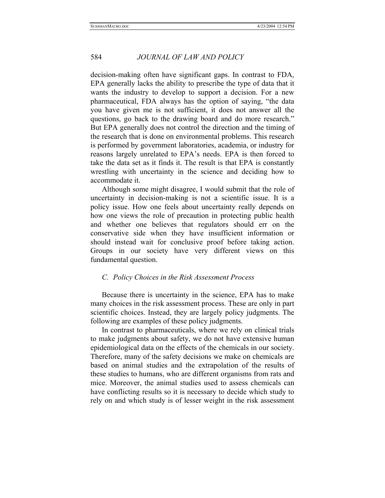decision-making often have significant gaps. In contrast to FDA, EPA generally lacks the ability to prescribe the type of data that it wants the industry to develop to support a decision. For a new pharmaceutical, FDA always has the option of saying, "the data you have given me is not sufficient, it does not answer all the questions, go back to the drawing board and do more research." But EPA generally does not control the direction and the timing of the research that is done on environmental problems. This research is performed by government laboratories, academia, or industry for reasons largely unrelated to EPA's needs. EPA is then forced to take the data set as it finds it. The result is that EPA is constantly wrestling with uncertainty in the science and deciding how to accommodate it.

Although some might disagree, I would submit that the role of uncertainty in decision-making is not a scientific issue. It is a policy issue. How one feels about uncertainty really depends on how one views the role of precaution in protecting public health and whether one believes that regulators should err on the conservative side when they have insufficient information or should instead wait for conclusive proof before taking action. Groups in our society have very different views on this fundamental question.

#### *C. Policy Choices in the Risk Assessment Process*

Because there is uncertainty in the science, EPA has to make many choices in the risk assessment process. These are only in part scientific choices. Instead, they are largely policy judgments. The following are examples of these policy judgments.

In contrast to pharmaceuticals, where we rely on clinical trials to make judgments about safety, we do not have extensive human epidemiological data on the effects of the chemicals in our society. Therefore, many of the safety decisions we make on chemicals are based on animal studies and the extrapolation of the results of these studies to humans, who are different organisms from rats and mice. Moreover, the animal studies used to assess chemicals can have conflicting results so it is necessary to decide which study to rely on and which study is of lesser weight in the risk assessment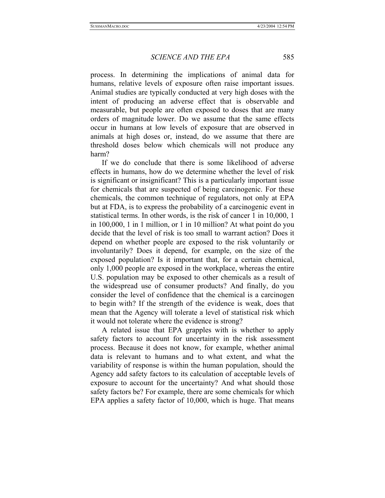process. In determining the implications of animal data for humans, relative levels of exposure often raise important issues. Animal studies are typically conducted at very high doses with the intent of producing an adverse effect that is observable and measurable, but people are often exposed to doses that are many orders of magnitude lower. Do we assume that the same effects occur in humans at low levels of exposure that are observed in animals at high doses or, instead, do we assume that there are threshold doses below which chemicals will not produce any harm?

If we do conclude that there is some likelihood of adverse effects in humans, how do we determine whether the level of risk is significant or insignificant? This is a particularly important issue for chemicals that are suspected of being carcinogenic. For these chemicals, the common technique of regulators, not only at EPA but at FDA, is to express the probability of a carcinogenic event in statistical terms. In other words, is the risk of cancer 1 in 10,000, 1 in 100,000, 1 in 1 million, or 1 in 10 million? At what point do you decide that the level of risk is too small to warrant action? Does it depend on whether people are exposed to the risk voluntarily or involuntarily? Does it depend, for example, on the size of the exposed population? Is it important that, for a certain chemical, only 1,000 people are exposed in the workplace, whereas the entire U.S. population may be exposed to other chemicals as a result of the widespread use of consumer products? And finally, do you consider the level of confidence that the chemical is a carcinogen to begin with? If the strength of the evidence is weak, does that mean that the Agency will tolerate a level of statistical risk which it would not tolerate where the evidence is strong?

A related issue that EPA grapples with is whether to apply safety factors to account for uncertainty in the risk assessment process. Because it does not know, for example, whether animal data is relevant to humans and to what extent, and what the variability of response is within the human population, should the Agency add safety factors to its calculation of acceptable levels of exposure to account for the uncertainty? And what should those safety factors be? For example, there are some chemicals for which EPA applies a safety factor of 10,000, which is huge. That means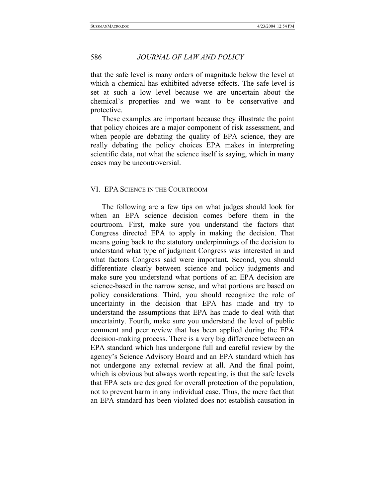that the safe level is many orders of magnitude below the level at which a chemical has exhibited adverse effects. The safe level is set at such a low level because we are uncertain about the chemical's properties and we want to be conservative and protective.

These examples are important because they illustrate the point that policy choices are a major component of risk assessment, and when people are debating the quality of EPA science, they are really debating the policy choices EPA makes in interpreting scientific data, not what the science itself is saying, which in many cases may be uncontroversial.

#### VI. EPA SCIENCE IN THE COURTROOM

The following are a few tips on what judges should look for when an EPA science decision comes before them in the courtroom. First, make sure you understand the factors that Congress directed EPA to apply in making the decision. That means going back to the statutory underpinnings of the decision to understand what type of judgment Congress was interested in and what factors Congress said were important. Second, you should differentiate clearly between science and policy judgments and make sure you understand what portions of an EPA decision are science-based in the narrow sense, and what portions are based on policy considerations. Third, you should recognize the role of uncertainty in the decision that EPA has made and try to understand the assumptions that EPA has made to deal with that uncertainty. Fourth, make sure you understand the level of public comment and peer review that has been applied during the EPA decision-making process. There is a very big difference between an EPA standard which has undergone full and careful review by the agency's Science Advisory Board and an EPA standard which has not undergone any external review at all. And the final point, which is obvious but always worth repeating, is that the safe levels that EPA sets are designed for overall protection of the population, not to prevent harm in any individual case. Thus, the mere fact that an EPA standard has been violated does not establish causation in